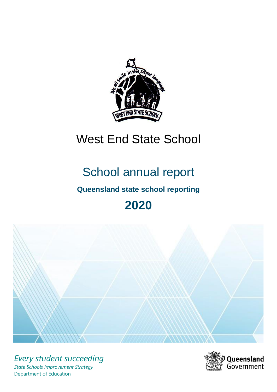

# West End State School

# School annual report

# **Queensland state school reporting**

# **2020**



*Every student succeeding State Schools Improvement Strategy* Department of Education

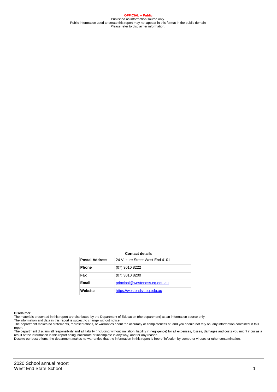**OFFICIAL – Public** Published as information source only. Public information used to create this report may not appear in this format in the public domain Please refer to disclaimer information.

#### **Contact details**

| <b>Postal Address</b> | 24 Vulture Street West End 4101 |
|-----------------------|---------------------------------|
| <b>Phone</b>          | (07) 3010 8222                  |
| Fax                   | $(07)$ 3010 8200                |
| Email                 | principal@westendss.eq.edu.au   |
| Website               | https://westendss.eq.edu.au     |

#### **Disclaimer**

The materials presented in this report are distributed by the Department of Education (the department) as an information source only. The information and data in this report is subject to change without notice.

The department makes no statements, representations, or warranties about the accuracy or completeness of, and you should not rely on, any information contained in this report.

The department disclaim all responsibility and all liability (including without limitation, liability in negligence) for all expenses, losses, damages and costs you might incur as a<br>result of the information in this report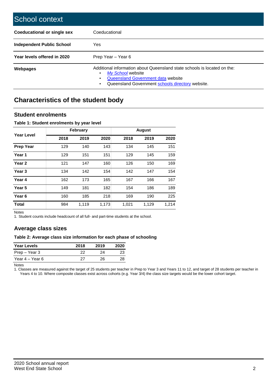| School context                     |                                                                                                                                                                                         |
|------------------------------------|-----------------------------------------------------------------------------------------------------------------------------------------------------------------------------------------|
| <b>Coeducational or single sex</b> | Coeducational                                                                                                                                                                           |
| <b>Independent Public School</b>   | Yes                                                                                                                                                                                     |
| Year levels offered in 2020        | Prep Year – Year 6                                                                                                                                                                      |
| <b>Webpages</b>                    | Additional information about Queensland state schools is located on the:<br>My School website<br>Queensland Government data website<br>Queensland Government schools directory website. |

# **Characteristics of the student body**

### **Student enrolments**

#### **Table 1: Student enrolments by year level**

|                   |      | February |       |       | <b>August</b> |       |
|-------------------|------|----------|-------|-------|---------------|-------|
| Year Level        | 2018 | 2019     | 2020  | 2018  | 2019          | 2020  |
| Prep Year         | 129  | 140      | 143   | 134   | 145           | 151   |
| Year 1            | 129  | 151      | 151   | 129   | 145           | 159   |
| Year 2            | 121  | 147      | 160   | 126   | 150           | 169   |
| Year 3            | 134  | 142      | 154   | 142   | 147           | 154   |
| Year 4            | 162  | 173      | 165   | 167   | 166           | 167   |
| Year 5            | 149  | 181      | 182   | 154   | 186           | 189   |
| Year <sub>6</sub> | 160  | 185      | 218   | 169   | 190           | 225   |
| <b>Total</b>      | 984  | 1,119    | 1,173 | 1,021 | 1,129         | 1,214 |

Notes

1. Student counts include headcount of all full- and part-time students at the school.

### **Average class sizes**

#### **Table 2: Average class size information for each phase of schooling**

| <b>Year Levels</b> | 2018 | 2019 | 2020 |
|--------------------|------|------|------|
| Prep – Year 3      | 22   | 24   | 23   |
| Year 4 – Year 6    | クフ   | 26.  | 28   |

Notes

1. Classes are measured against the target of 25 students per teacher in Prep to Year 3 and Years 11 to 12, and target of 28 students per teacher in Years 4 to 10. Where composite classes exist across cohorts (e.g. Year 3/4) the class size targets would be the lower cohort target.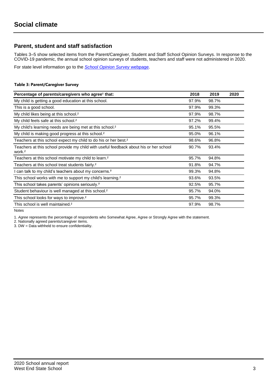## **Parent, student and staff satisfaction**

Tables 3–5 show selected items from the Parent/Caregiver, Student and Staff School Opinion Surveys. In response to the COVID-19 pandemic, the annual school opinion surveys of students, teachers and staff were not administered in 2020.

For state level information go to the *[School Opinion Survey](https://qed.qld.gov.au/publications/reports/statistics/schooling/schools/schoolopinionsurvey)* [webpage.](https://qed.qld.gov.au/publications/reports/statistics/schooling/schools/schoolopinionsurvey)

#### **Table 3: Parent/Caregiver Survey**

| Percentage of parents/caregivers who agree <sup>1</sup> that:                                               | 2018  | 2019  | 2020 |
|-------------------------------------------------------------------------------------------------------------|-------|-------|------|
| My child is getting a good education at this school.                                                        | 97.9% | 98.7% |      |
| This is a good school.                                                                                      | 97.9% | 99.3% |      |
| My child likes being at this school. <sup>2</sup>                                                           | 97.9% | 98.7% |      |
| My child feels safe at this school. <sup>2</sup>                                                            | 97.2% | 99.4% |      |
| My child's learning needs are being met at this school. <sup>2</sup>                                        | 95.1% | 95.5% |      |
| My child is making good progress at this school. <sup>2</sup>                                               | 95.0% | 96.1% |      |
| Teachers at this school expect my child to do his or her best. <sup>2</sup>                                 | 98.6% | 96.8% |      |
| Teachers at this school provide my child with useful feedback about his or her school<br>work. <sup>2</sup> | 90.7% | 93.4% |      |
| Teachers at this school motivate my child to learn. <sup>2</sup>                                            | 95.7% | 94.8% |      |
| Teachers at this school treat students fairly. <sup>2</sup>                                                 | 91.8% | 94.7% |      |
| I can talk to my child's teachers about my concerns. <sup>2</sup>                                           | 99.3% | 94.8% |      |
| This school works with me to support my child's learning. <sup>2</sup>                                      | 93.6% | 93.5% |      |
| This school takes parents' opinions seriously. <sup>2</sup>                                                 | 92.5% | 95.7% |      |
| Student behaviour is well managed at this school. <sup>2</sup>                                              | 95.7% | 94.0% |      |
| This school looks for ways to improve. <sup>2</sup>                                                         | 95.7% | 99.3% |      |
| This school is well maintained. <sup>2</sup>                                                                | 97.9% | 98.7% |      |

Notes

1. *Agree* represents the percentage of respondents who Somewhat Agree, Agree or Strongly Agree with the statement.

2. Nationally agreed parents/caregiver items.

3. DW = Data withheld to ensure confidentiality.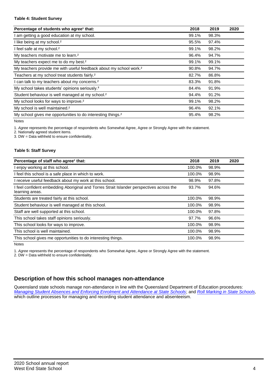#### **Table 4: Student Survey**

| Percentage of students who agree <sup>1</sup> that:                            | 2018  | 2019  | 2020 |
|--------------------------------------------------------------------------------|-------|-------|------|
| am getting a good education at my school.                                      | 99.1% | 98.3% |      |
| I like being at my school. <sup>2</sup>                                        | 95.5% | 97.4% |      |
| I feel safe at my school. <sup>2</sup>                                         | 99.1% | 98.2% |      |
| My teachers motivate me to learn. <sup>2</sup>                                 | 96.4% | 94.7% |      |
| My teachers expect me to do my best. <sup>2</sup>                              | 99.1% | 99.1% |      |
| My teachers provide me with useful feedback about my school work. <sup>2</sup> | 90.8% | 94.7% |      |
| Teachers at my school treat students fairly. <sup>2</sup>                      | 82.7% | 86.8% |      |
| can talk to my teachers about my concerns. <sup>2</sup>                        | 83.3% | 91.8% |      |
| My school takes students' opinions seriously. <sup>2</sup>                     | 84.4% | 91.9% |      |
| Student behaviour is well managed at my school. <sup>2</sup>                   | 94.4% | 91.2% |      |
| My school looks for ways to improve. <sup>2</sup>                              | 99.1% | 98.2% |      |
| My school is well maintained. <sup>2</sup>                                     | 96.4% | 92.1% |      |
| My school gives me opportunities to do interesting things. <sup>2</sup>        | 95.4% | 98.2% |      |

Notes

1. *Agree* represents the percentage of respondents who Somewhat Agree, Agree or Strongly Agree with the statement.

2. Nationally agreed student items.

3. DW = Data withheld to ensure confidentiality.

#### **Table 5: Staff Survey**

| Percentage of staff who agree <sup>1</sup> that:                                                            | 2018   | 2019  | 2020 |
|-------------------------------------------------------------------------------------------------------------|--------|-------|------|
| I enjoy working at this school.                                                                             | 100.0% | 98.9% |      |
| I feel this school is a safe place in which to work.                                                        | 100.0% | 98.9% |      |
| I receive useful feedback about my work at this school.                                                     | 98.9%  | 97.8% |      |
| I feel confident embedding Aboriginal and Torres Strait Islander perspectives across the<br>learning areas. | 93.7%  | 94.6% |      |
| Students are treated fairly at this school.                                                                 | 100.0% | 98.9% |      |
| Student behaviour is well managed at this school.                                                           | 100.0% | 98.9% |      |
| Staff are well supported at this school.                                                                    | 100.0% | 97.8% |      |
| This school takes staff opinions seriously.                                                                 | 97.7%  | 96.6% |      |
| This school looks for ways to improve.                                                                      | 100.0% | 98.9% |      |
| This school is well maintained.                                                                             | 100.0% | 98.9% |      |
| This school gives me opportunities to do interesting things.                                                | 100.0% | 98.9% |      |

Notes

1. *Agree* represents the percentage of respondents who Somewhat Agree, Agree or Strongly Agree with the statement.

2. DW = Data withheld to ensure confidentiality.

## **Description of how this school manages non-attendance**

Queensland state schools manage non-attendance in line with the Queensland Department of Education procedures: *[Managing Student Absences and Enforcing Enrolment and Attendance at State Schools](https://ppr.qed.qld.gov.au/pp/managing-student-absences-and-enforcing-enrolment-and-attendance-at-state-schools-procedure)*; and *[Roll Marking in State Schools,](https://ppr.qed.qld.gov.au/pp/roll-marking-in-state-schools-procedure)* which outline processes for managing and recording student attendance and absenteeism.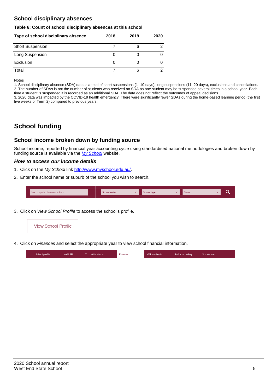## **School disciplinary absences**

#### **Table 6: Count of school disciplinary absences at this school**

| Type of school disciplinary absence | 2018 | 2019 | 2020 |
|-------------------------------------|------|------|------|
| <b>Short Suspension</b>             |      | 6    |      |
| Long Suspension                     |      |      |      |
| Exclusion                           |      |      |      |
| Total                               |      | 6    |      |

Notes

1. School disciplinary absence (SDA) data is a total of short suspensions (1–10 days), long suspensions (11–20 days), exclusions and cancellations. 2. The number of SDAs is not the number of students who received an SDA as one student may be suspended several times in a school year. Each time a student is suspended it is recorded as an additional SDA. The data does not reflect the outcomes of appeal decisions.

3. 2020 data was impacted by the COVID-19 health emergency. There were significantly fewer SDAs during the home-based learning period (the first five weeks of Term 2) compared to previous years.

# **School funding**

## **School income broken down by funding source**

School income, reported by financial year accounting cycle using standardised national methodologies and broken down by funding source is available via the *[My School](http://www.myschool.edu.au/)* website.

#### *How to access our income details*

- 1. Click on the *My School* link [http://www.myschool.edu.au/.](http://www.myschool.edu.au/)
- 2. Enter the school name or suburb of the school you wish to search.

| Search by school name or suburb | <b>School sector</b> | <b>School type</b><br>447 | <b>State</b> | ∽ |
|---------------------------------|----------------------|---------------------------|--------------|---|
|                                 |                      |                           |              |   |

3. Click on *View School Profile* to access the school's profile.



4. Click on *Finances* and select the appropriate year to view school financial information.

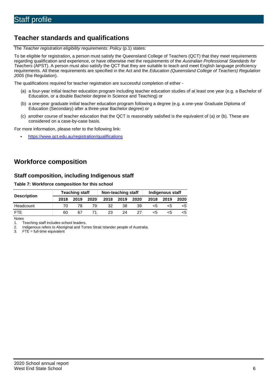# **Teacher standards and qualifications**

The *Teacher registration eligibility requirements: Policy* (p.1) states:

To be eligible for registration, a person must satisfy the Queensland College of Teachers (QCT) that they meet requirements regarding qualification and experience, or have otherwise met the requirements of the *Australian Professional Standards for Teachers* (APST). A person must also satisfy the QCT that they are suitable to teach and meet English language proficiency requirements. All these requirements are specified in the Act and the *Education (Queensland College of Teachers) Regulation 2005* (the Regulation).

The qualifications required for teacher registration are successful completion of either -

- (a) a four-year initial teacher education program including teacher education studies of at least one year (e.g. a Bachelor of Education, or a double Bachelor degree in Science and Teaching) or
- (b) a one-year graduate initial teacher education program following a degree (e.g. a one-year Graduate Diploma of Education (Secondary) after a three-year Bachelor degree) or
- (c) another course of teacher education that the QCT is reasonably satisfied is the equivalent of (a) or (b). These are considered on a case-by-case basis.

For more information, please refer to the following link:

• <https://www.qct.edu.au/registration/qualifications>

## **Workforce composition**

## **Staff composition, including Indigenous staff**

#### **Table 7: Workforce composition for this school**

|                    | <b>Teaching staff</b> |      |      | Non-teaching staff |      |      | Indigenous staff |      |      |  |
|--------------------|-----------------------|------|------|--------------------|------|------|------------------|------|------|--|
| <b>Description</b> | 2018                  | 2019 | 2020 | 2018               | 2019 | 2020 | 2018             | 2019 | 2020 |  |
| Headcount          |                       |      | 79   | 32                 | 38   | 39   | <5               |      |      |  |
| <b>FTF</b>         | 60                    | 67   |      | 23                 | 24   | 27   | <5               | ה>   | <5   |  |

Notes

1. Teaching staff includes school leaders.<br>2. Indigenous refers to Aboriginal and Tor

2. Indigenous refers to Aboriginal and Torres Strait Islander people of Australia.<br>3. FTE = full-time equivalent

 $FTE = full-time equivalent$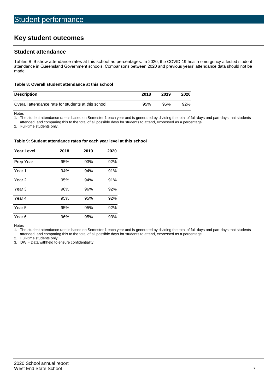# **Key student outcomes**

## **Student attendance**

Tables 8–9 show attendance rates at this school as percentages. In 2020, the COVID-19 health emergency affected student attendance in Queensland Government schools. Comparisons between 2020 and previous years' attendance data should not be made.

#### **Table 8: Overall student attendance at this school**

| <b>Description</b>                                  | 2018 | 2019 | 2020 |
|-----------------------------------------------------|------|------|------|
| Overall attendance rate for students at this school | 95%  | 95%  | 92%  |

Notes<br>1. Th

The student attendance rate is based on Semester 1 each year and is generated by dividing the total of full-days and part-days that students

attended, and comparing this to the total of all possible days for students to attend, expressed as a percentage.

2. Full-time students only.

#### **Table 9: Student attendance rates for each year level at this school**

| <b>Year Level</b> | 2018 | 2019 | 2020 |
|-------------------|------|------|------|
| Prep Year         | 95%  | 93%  | 92%  |
| Year <sub>1</sub> | 94%  | 94%  | 91%  |
| Year 2            | 95%  | 94%  | 91%  |
| Year <sub>3</sub> | 96%  | 96%  | 92%  |
| Year 4            | 95%  | 95%  | 92%  |
| Year 5            | 95%  | 95%  | 92%  |
| Year <sub>6</sub> | 96%  | 95%  | 93%  |

Notes

1. The student attendance rate is based on Semester 1 each year and is generated by dividing the total of full-days and part-days that students attended, and comparing this to the total of all possible days for students to attend, expressed as a percentage.

2. Full-time students only.<br>3. DW = Data withheld to

 $DW = Data$  withheld to ensure confidentiality